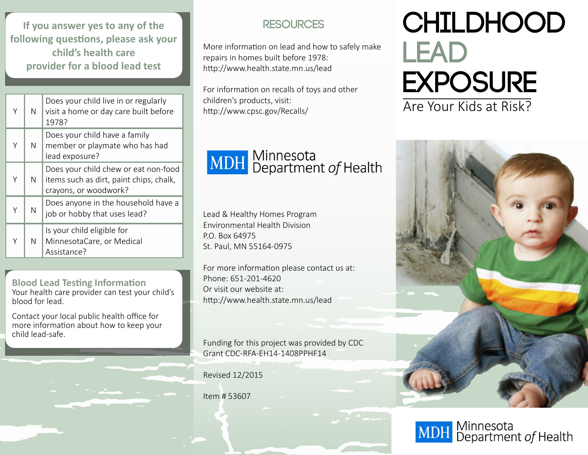**If you answer yes to any of the following questions, please ask your child's health care provider for a blood lead test**

|   | N | Does your child live in or regularly<br>visit a home or day care built before<br>1978?                   |
|---|---|----------------------------------------------------------------------------------------------------------|
| Υ | N | Does your child have a family<br>member or playmate who has had<br>lead exposure?                        |
| Υ | N | Does your child chew or eat non-food<br>items such as dirt, paint chips, chalk,<br>crayons, or woodwork? |
| Υ | N | Does anyone in the household have a<br>job or hobby that uses lead?                                      |
|   | N | Is your child eligible for<br>MinnesotaCare, or Medical<br>Assistance?                                   |

**Blood Lead Testing Information** Your health care provider can test your child's blood for lead.

Contact your local public health office for more information about how to keep your child lead-safe.

#### **RESOURCES**

More information on lead and how to safely make repairs in homes built before 1978: http://www.health.state.mn.us/lead

For information on recalls of toys and other children's products, visit: http://www.cpsc.gov/Recalls/

# **MDH** Minnesota<br>
Department of Health

Lead & Healthy Homes Program Environmental Health Division P.O. Box 64975 St. Paul, MN 55164-0975

For more information please contact us at: Phone: 651-201-4620 Or visit our website at: http://www.health.state.mn.us/lead

Funding for this project was provided by CDC Grant CDC-RFA-EH14-1408PPHF14

Revised 12/2015

Item # 53607

# **Childhood Lead Exposure** Are Your Kids at Risk?